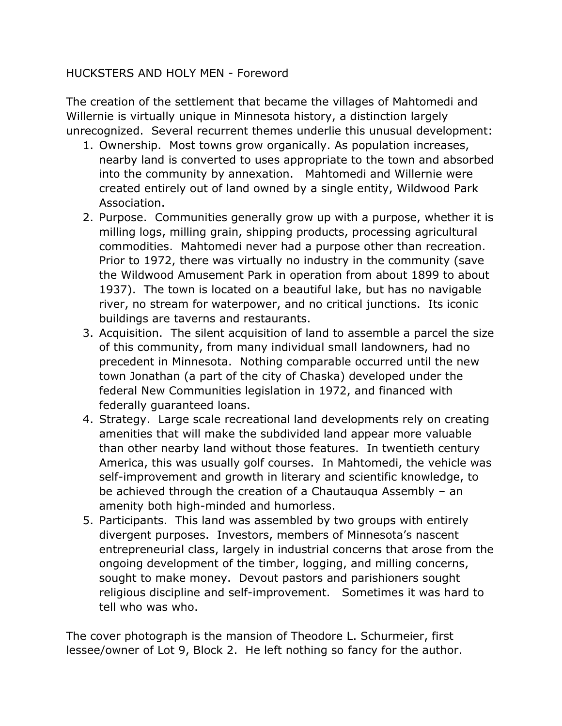### HUCKSTERS AND HOLY MEN - Foreword

The creation of the settlement that became the villages of Mahtomedi and Willernie is virtually unique in Minnesota history, a distinction largely unrecognized. Several recurrent themes underlie this unusual development:

- 1. Ownership. Most towns grow organically. As population increases, nearby land is converted to uses appropriate to the town and absorbed into the community by annexation. Mahtomedi and Willernie were created entirely out of land owned by a single entity, Wildwood Park Association.
- 2. Purpose. Communities generally grow up with a purpose, whether it is milling logs, milling grain, shipping products, processing agricultural commodities. Mahtomedi never had a purpose other than recreation. Prior to 1972, there was virtually no industry in the community (save the Wildwood Amusement Park in operation from about 1899 to about 1937). The town is located on a beautiful lake, but has no navigable river, no stream for waterpower, and no critical junctions. Its iconic buildings are taverns and restaurants.
- 3. Acquisition. The silent acquisition of land to assemble a parcel the size of this community, from many individual small landowners, had no precedent in Minnesota. Nothing comparable occurred until the new town Jonathan (a part of the city of Chaska) developed under the federal New Communities legislation in 1972, and financed with federally guaranteed loans.
- 4. Strategy. Large scale recreational land developments rely on creating amenities that will make the subdivided land appear more valuable than other nearby land without those features. In twentieth century America, this was usually golf courses. In Mahtomedi, the vehicle was self-improvement and growth in literary and scientific knowledge, to be achieved through the creation of a Chautauqua Assembly – an amenity both high-minded and humorless.
- 5. Participants. This land was assembled by two groups with entirely divergent purposes. Investors, members of Minnesota's nascent entrepreneurial class, largely in industrial concerns that arose from the ongoing development of the timber, logging, and milling concerns, sought to make money. Devout pastors and parishioners sought religious discipline and self-improvement. Sometimes it was hard to tell who was who.

The cover photograph is the mansion of Theodore L. Schurmeier, first lessee/owner of Lot 9, Block 2. He left nothing so fancy for the author.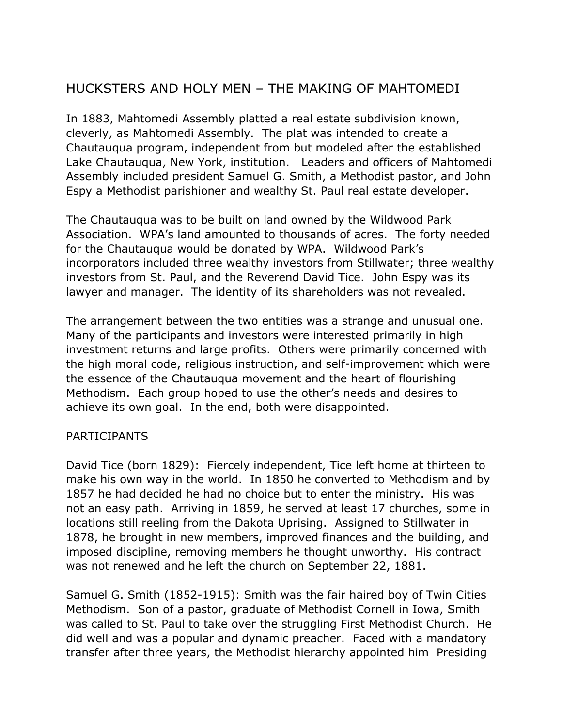# HUCKSTERS AND HOLY MEN – THE MAKING OF MAHTOMEDI

In 1883, Mahtomedi Assembly platted a real estate subdivision known, cleverly, as Mahtomedi Assembly. The plat was intended to create a Chautauqua program, independent from but modeled after the established Lake Chautauqua, New York, institution. Leaders and officers of Mahtomedi Assembly included president Samuel G. Smith, a Methodist pastor, and John Espy a Methodist parishioner and wealthy St. Paul real estate developer.

The Chautauqua was to be built on land owned by the Wildwood Park Association. WPA's land amounted to thousands of acres. The forty needed for the Chautauqua would be donated by WPA. Wildwood Park's incorporators included three wealthy investors from Stillwater; three wealthy investors from St. Paul, and the Reverend David Tice. John Espy was its lawyer and manager. The identity of its shareholders was not revealed.

The arrangement between the two entities was a strange and unusual one. Many of the participants and investors were interested primarily in high investment returns and large profits. Others were primarily concerned with the high moral code, religious instruction, and self-improvement which were the essence of the Chautauqua movement and the heart of flourishing Methodism. Each group hoped to use the other's needs and desires to achieve its own goal. In the end, both were disappointed.

#### PARTICIPANTS

David Tice (born 1829): Fiercely independent, Tice left home at thirteen to make his own way in the world. In 1850 he converted to Methodism and by 1857 he had decided he had no choice but to enter the ministry. His was not an easy path. Arriving in 1859, he served at least 17 churches, some in locations still reeling from the Dakota Uprising. Assigned to Stillwater in 1878, he brought in new members, improved finances and the building, and imposed discipline, removing members he thought unworthy. His contract was not renewed and he left the church on September 22, 1881.

Samuel G. Smith (1852-1915): Smith was the fair haired boy of Twin Cities Methodism. Son of a pastor, graduate of Methodist Cornell in Iowa, Smith was called to St. Paul to take over the struggling First Methodist Church. He did well and was a popular and dynamic preacher. Faced with a mandatory transfer after three years, the Methodist hierarchy appointed him Presiding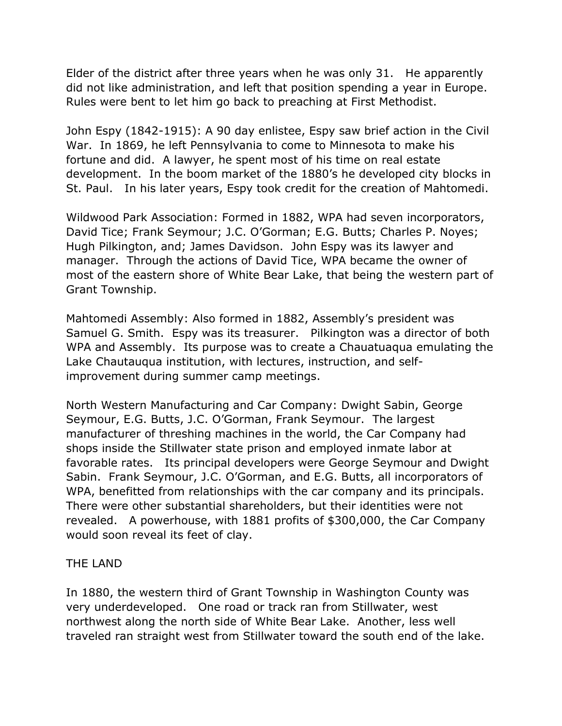Elder of the district after three years when he was only 31. He apparently did not like administration, and left that position spending a year in Europe. Rules were bent to let him go back to preaching at First Methodist.

John Espy (1842-1915): A 90 day enlistee, Espy saw brief action in the Civil War. In 1869, he left Pennsylvania to come to Minnesota to make his fortune and did. A lawyer, he spent most of his time on real estate development. In the boom market of the 1880's he developed city blocks in St. Paul. In his later years, Espy took credit for the creation of Mahtomedi.

Wildwood Park Association: Formed in 1882, WPA had seven incorporators, David Tice; Frank Seymour; J.C. O'Gorman; E.G. Butts; Charles P. Noyes; Hugh Pilkington, and; James Davidson. John Espy was its lawyer and manager. Through the actions of David Tice, WPA became the owner of most of the eastern shore of White Bear Lake, that being the western part of Grant Township.

Mahtomedi Assembly: Also formed in 1882, Assembly's president was Samuel G. Smith. Espy was its treasurer. Pilkington was a director of both WPA and Assembly. Its purpose was to create a Chauatuaqua emulating the Lake Chautauqua institution, with lectures, instruction, and selfimprovement during summer camp meetings.

North Western Manufacturing and Car Company: Dwight Sabin, George Seymour, E.G. Butts, J.C. O'Gorman, Frank Seymour. The largest manufacturer of threshing machines in the world, the Car Company had shops inside the Stillwater state prison and employed inmate labor at favorable rates. Its principal developers were George Seymour and Dwight Sabin. Frank Seymour, J.C. O'Gorman, and E.G. Butts, all incorporators of WPA, benefitted from relationships with the car company and its principals. There were other substantial shareholders, but their identities were not revealed. A powerhouse, with 1881 profits of \$300,000, the Car Company would soon reveal its feet of clay.

#### THE LAND

In 1880, the western third of Grant Township in Washington County was very underdeveloped. One road or track ran from Stillwater, west northwest along the north side of White Bear Lake. Another, less well traveled ran straight west from Stillwater toward the south end of the lake.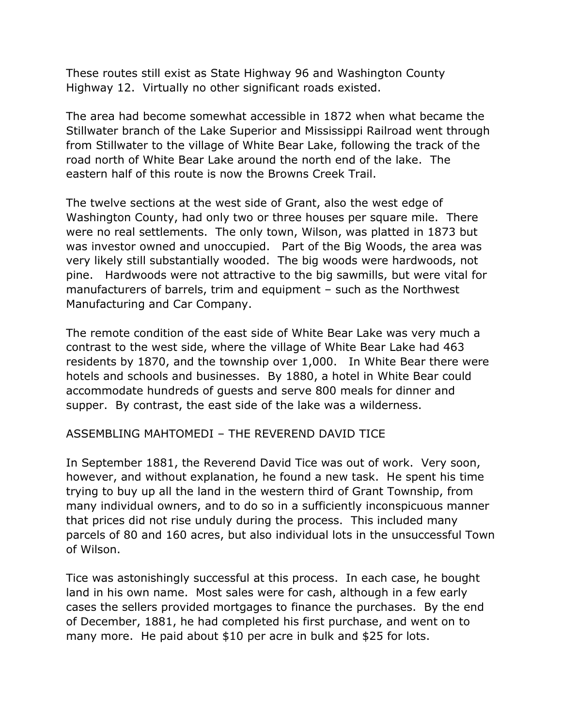These routes still exist as State Highway 96 and Washington County Highway 12. Virtually no other significant roads existed.

The area had become somewhat accessible in 1872 when what became the Stillwater branch of the Lake Superior and Mississippi Railroad went through from Stillwater to the village of White Bear Lake, following the track of the road north of White Bear Lake around the north end of the lake. The eastern half of this route is now the Browns Creek Trail.

The twelve sections at the west side of Grant, also the west edge of Washington County, had only two or three houses per square mile. There were no real settlements. The only town, Wilson, was platted in 1873 but was investor owned and unoccupied. Part of the Big Woods, the area was very likely still substantially wooded. The big woods were hardwoods, not pine. Hardwoods were not attractive to the big sawmills, but were vital for manufacturers of barrels, trim and equipment – such as the Northwest Manufacturing and Car Company.

The remote condition of the east side of White Bear Lake was very much a contrast to the west side, where the village of White Bear Lake had 463 residents by 1870, and the township over 1,000. In White Bear there were hotels and schools and businesses. By 1880, a hotel in White Bear could accommodate hundreds of guests and serve 800 meals for dinner and supper. By contrast, the east side of the lake was a wilderness.

ASSEMBLING MAHTOMEDI – THE REVEREND DAVID TICE

In September 1881, the Reverend David Tice was out of work. Very soon, however, and without explanation, he found a new task. He spent his time trying to buy up all the land in the western third of Grant Township, from many individual owners, and to do so in a sufficiently inconspicuous manner that prices did not rise unduly during the process. This included many parcels of 80 and 160 acres, but also individual lots in the unsuccessful Town of Wilson.

Tice was astonishingly successful at this process. In each case, he bought land in his own name. Most sales were for cash, although in a few early cases the sellers provided mortgages to finance the purchases. By the end of December, 1881, he had completed his first purchase, and went on to many more. He paid about \$10 per acre in bulk and \$25 for lots.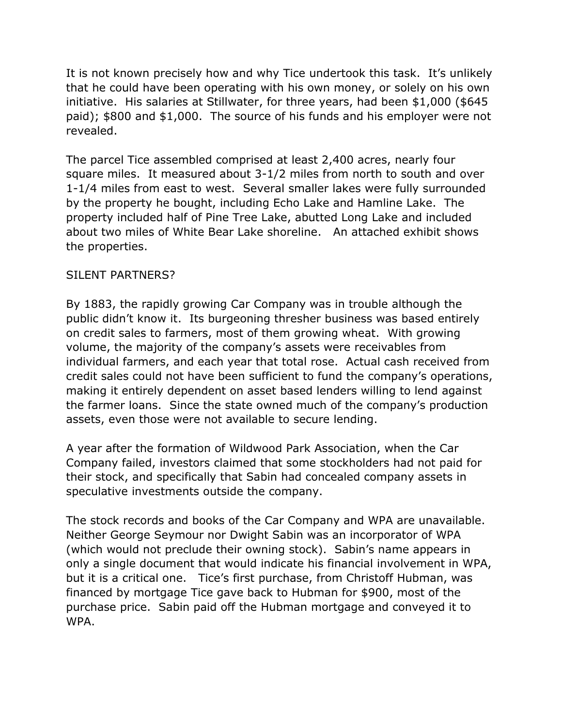It is not known precisely how and why Tice undertook this task. It's unlikely that he could have been operating with his own money, or solely on his own initiative. His salaries at Stillwater, for three years, had been \$1,000 (\$645 paid); \$800 and \$1,000. The source of his funds and his employer were not revealed.

The parcel Tice assembled comprised at least 2,400 acres, nearly four square miles. It measured about 3-1/2 miles from north to south and over 1-1/4 miles from east to west. Several smaller lakes were fully surrounded by the property he bought, including Echo Lake and Hamline Lake. The property included half of Pine Tree Lake, abutted Long Lake and included about two miles of White Bear Lake shoreline. An attached exhibit shows the properties.

# SILENT PARTNERS?

By 1883, the rapidly growing Car Company was in trouble although the public didn't know it. Its burgeoning thresher business was based entirely on credit sales to farmers, most of them growing wheat. With growing volume, the majority of the company's assets were receivables from individual farmers, and each year that total rose. Actual cash received from credit sales could not have been sufficient to fund the company's operations, making it entirely dependent on asset based lenders willing to lend against the farmer loans. Since the state owned much of the company's production assets, even those were not available to secure lending.

A year after the formation of Wildwood Park Association, when the Car Company failed, investors claimed that some stockholders had not paid for their stock, and specifically that Sabin had concealed company assets in speculative investments outside the company.

The stock records and books of the Car Company and WPA are unavailable. Neither George Seymour nor Dwight Sabin was an incorporator of WPA (which would not preclude their owning stock). Sabin's name appears in only a single document that would indicate his financial involvement in WPA, but it is a critical one. Tice's first purchase, from Christoff Hubman, was financed by mortgage Tice gave back to Hubman for \$900, most of the purchase price. Sabin paid off the Hubman mortgage and conveyed it to WPA.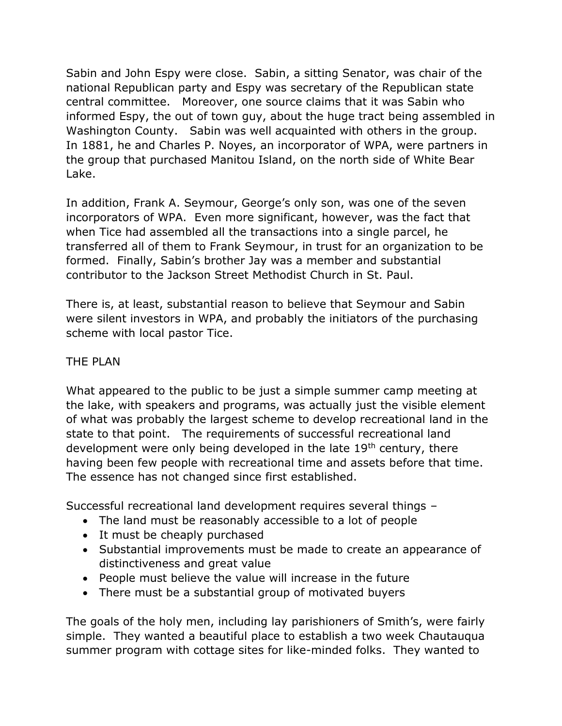Sabin and John Espy were close. Sabin, a sitting Senator, was chair of the national Republican party and Espy was secretary of the Republican state central committee. Moreover, one source claims that it was Sabin who informed Espy, the out of town guy, about the huge tract being assembled in Washington County. Sabin was well acquainted with others in the group. In 1881, he and Charles P. Noyes, an incorporator of WPA, were partners in the group that purchased Manitou Island, on the north side of White Bear Lake.

In addition, Frank A. Seymour, George's only son, was one of the seven incorporators of WPA. Even more significant, however, was the fact that when Tice had assembled all the transactions into a single parcel, he transferred all of them to Frank Seymour, in trust for an organization to be formed. Finally, Sabin's brother Jay was a member and substantial contributor to the Jackson Street Methodist Church in St. Paul.

There is, at least, substantial reason to believe that Seymour and Sabin were silent investors in WPA, and probably the initiators of the purchasing scheme with local pastor Tice.

### THE PLAN

What appeared to the public to be just a simple summer camp meeting at the lake, with speakers and programs, was actually just the visible element of what was probably the largest scheme to develop recreational land in the state to that point. The requirements of successful recreational land development were only being developed in the late  $19<sup>th</sup>$  century, there having been few people with recreational time and assets before that time. The essence has not changed since first established.

Successful recreational land development requires several things –

- The land must be reasonably accessible to a lot of people
- It must be cheaply purchased
- Substantial improvements must be made to create an appearance of distinctiveness and great value
- People must believe the value will increase in the future
- There must be a substantial group of motivated buyers

The goals of the holy men, including lay parishioners of Smith's, were fairly simple. They wanted a beautiful place to establish a two week Chautauqua summer program with cottage sites for like-minded folks. They wanted to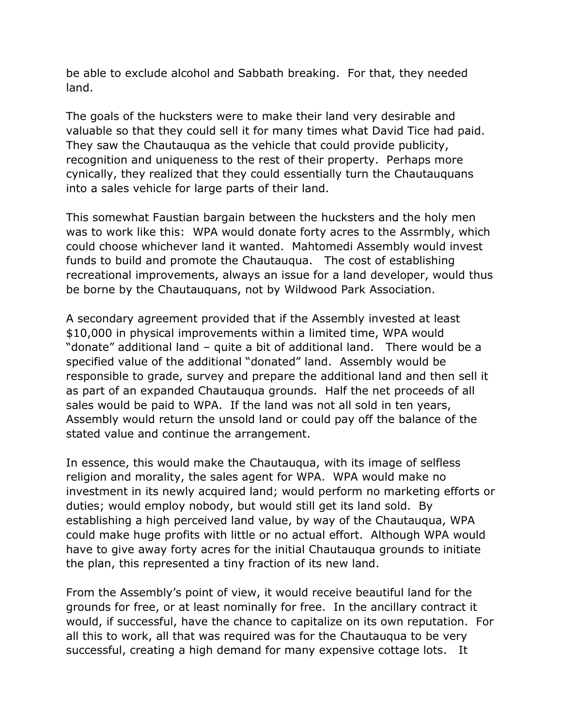be able to exclude alcohol and Sabbath breaking. For that, they needed land.

The goals of the hucksters were to make their land very desirable and valuable so that they could sell it for many times what David Tice had paid. They saw the Chautauqua as the vehicle that could provide publicity, recognition and uniqueness to the rest of their property. Perhaps more cynically, they realized that they could essentially turn the Chautauquans into a sales vehicle for large parts of their land.

This somewhat Faustian bargain between the hucksters and the holy men was to work like this: WPA would donate forty acres to the Assrmbly, which could choose whichever land it wanted. Mahtomedi Assembly would invest funds to build and promote the Chautauqua. The cost of establishing recreational improvements, always an issue for a land developer, would thus be borne by the Chautauquans, not by Wildwood Park Association.

A secondary agreement provided that if the Assembly invested at least \$10,000 in physical improvements within a limited time, WPA would "donate" additional land – quite a bit of additional land. There would be a specified value of the additional "donated" land. Assembly would be responsible to grade, survey and prepare the additional land and then sell it as part of an expanded Chautauqua grounds. Half the net proceeds of all sales would be paid to WPA. If the land was not all sold in ten years, Assembly would return the unsold land or could pay off the balance of the stated value and continue the arrangement.

In essence, this would make the Chautauqua, with its image of selfless religion and morality, the sales agent for WPA. WPA would make no investment in its newly acquired land; would perform no marketing efforts or duties; would employ nobody, but would still get its land sold. By establishing a high perceived land value, by way of the Chautauqua, WPA could make huge profits with little or no actual effort. Although WPA would have to give away forty acres for the initial Chautauqua grounds to initiate the plan, this represented a tiny fraction of its new land.

From the Assembly's point of view, it would receive beautiful land for the grounds for free, or at least nominally for free. In the ancillary contract it would, if successful, have the chance to capitalize on its own reputation. For all this to work, all that was required was for the Chautauqua to be very successful, creating a high demand for many expensive cottage lots. It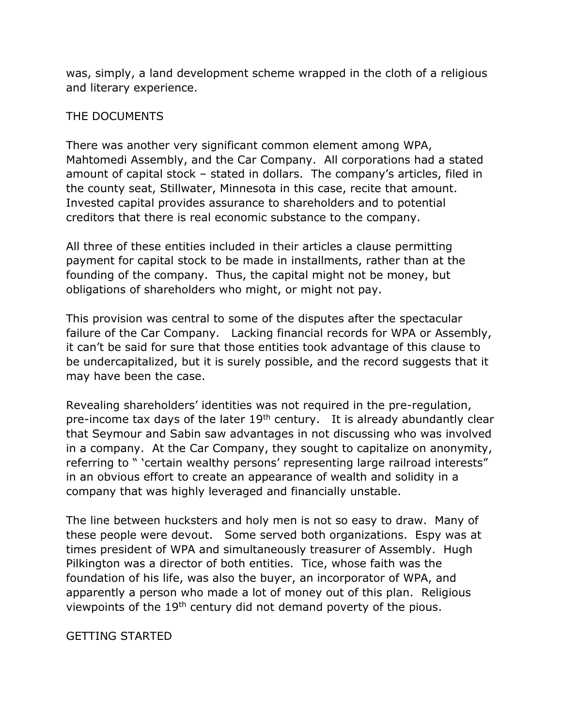was, simply, a land development scheme wrapped in the cloth of a religious and literary experience.

#### THE DOCUMENTS

There was another very significant common element among WPA, Mahtomedi Assembly, and the Car Company. All corporations had a stated amount of capital stock – stated in dollars. The company's articles, filed in the county seat, Stillwater, Minnesota in this case, recite that amount. Invested capital provides assurance to shareholders and to potential creditors that there is real economic substance to the company.

All three of these entities included in their articles a clause permitting payment for capital stock to be made in installments, rather than at the founding of the company. Thus, the capital might not be money, but obligations of shareholders who might, or might not pay.

This provision was central to some of the disputes after the spectacular failure of the Car Company. Lacking financial records for WPA or Assembly, it can't be said for sure that those entities took advantage of this clause to be undercapitalized, but it is surely possible, and the record suggests that it may have been the case.

Revealing shareholders' identities was not required in the pre-regulation, pre-income tax days of the later  $19<sup>th</sup>$  century. It is already abundantly clear that Seymour and Sabin saw advantages in not discussing who was involved in a company. At the Car Company, they sought to capitalize on anonymity, referring to " 'certain wealthy persons' representing large railroad interests" in an obvious effort to create an appearance of wealth and solidity in a company that was highly leveraged and financially unstable.

The line between hucksters and holy men is not so easy to draw. Many of these people were devout. Some served both organizations. Espy was at times president of WPA and simultaneously treasurer of Assembly. Hugh Pilkington was a director of both entities. Tice, whose faith was the foundation of his life, was also the buyer, an incorporator of WPA, and apparently a person who made a lot of money out of this plan. Religious viewpoints of the 19<sup>th</sup> century did not demand poverty of the pious.

GETTING STARTED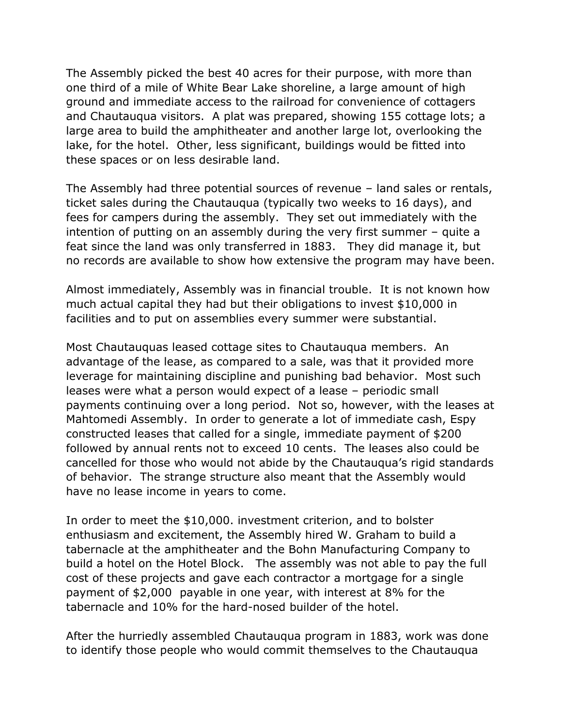The Assembly picked the best 40 acres for their purpose, with more than one third of a mile of White Bear Lake shoreline, a large amount of high ground and immediate access to the railroad for convenience of cottagers and Chautauqua visitors. A plat was prepared, showing 155 cottage lots; a large area to build the amphitheater and another large lot, overlooking the lake, for the hotel. Other, less significant, buildings would be fitted into these spaces or on less desirable land.

The Assembly had three potential sources of revenue – land sales or rentals, ticket sales during the Chautauqua (typically two weeks to 16 days), and fees for campers during the assembly. They set out immediately with the intention of putting on an assembly during the very first summer – quite a feat since the land was only transferred in 1883. They did manage it, but no records are available to show how extensive the program may have been.

Almost immediately, Assembly was in financial trouble. It is not known how much actual capital they had but their obligations to invest \$10,000 in facilities and to put on assemblies every summer were substantial.

Most Chautauquas leased cottage sites to Chautauqua members. An advantage of the lease, as compared to a sale, was that it provided more leverage for maintaining discipline and punishing bad behavior. Most such leases were what a person would expect of a lease – periodic small payments continuing over a long period. Not so, however, with the leases at Mahtomedi Assembly. In order to generate a lot of immediate cash, Espy constructed leases that called for a single, immediate payment of \$200 followed by annual rents not to exceed 10 cents. The leases also could be cancelled for those who would not abide by the Chautauqua's rigid standards of behavior. The strange structure also meant that the Assembly would have no lease income in years to come.

In order to meet the \$10,000. investment criterion, and to bolster enthusiasm and excitement, the Assembly hired W. Graham to build a tabernacle at the amphitheater and the Bohn Manufacturing Company to build a hotel on the Hotel Block. The assembly was not able to pay the full cost of these projects and gave each contractor a mortgage for a single payment of \$2,000 payable in one year, with interest at 8% for the tabernacle and 10% for the hard-nosed builder of the hotel.

After the hurriedly assembled Chautauqua program in 1883, work was done to identify those people who would commit themselves to the Chautauqua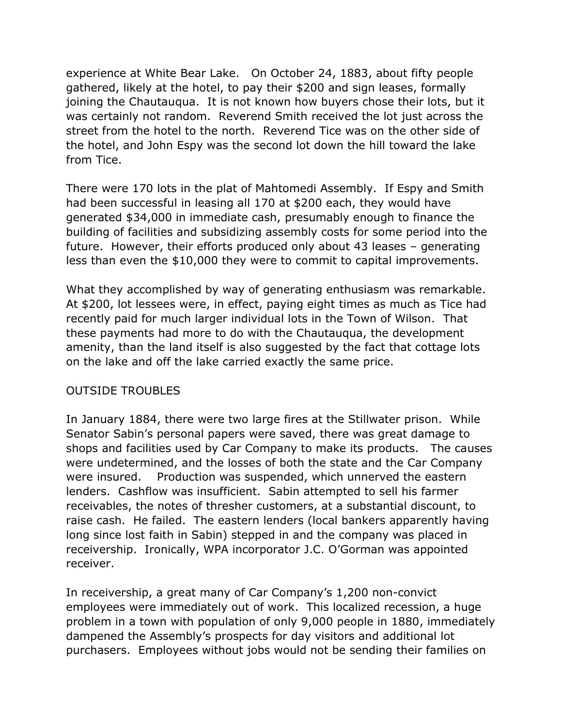experience at White Bear Lake. On October 24, 1883, about fifty people gathered, likely at the hotel, to pay their \$200 and sign leases, formally joining the Chautauqua. It is not known how buyers chose their lots, but it was certainly not random. Reverend Smith received the lot just across the street from the hotel to the north. Reverend Tice was on the other side of the hotel, and John Espy was the second lot down the hill toward the lake from Tice.

There were 170 lots in the plat of Mahtomedi Assembly. If Espy and Smith had been successful in leasing all 170 at \$200 each, they would have generated \$34,000 in immediate cash, presumably enough to finance the building of facilities and subsidizing assembly costs for some period into the future. However, their efforts produced only about 43 leases – generating less than even the \$10,000 they were to commit to capital improvements.

What they accomplished by way of generating enthusiasm was remarkable. At \$200, lot lessees were, in effect, paying eight times as much as Tice had recently paid for much larger individual lots in the Town of Wilson. That these payments had more to do with the Chautauqua, the development amenity, than the land itself is also suggested by the fact that cottage lots on the lake and off the lake carried exactly the same price.

#### OUTSIDE TROUBLES

In January 1884, there were two large fires at the Stillwater prison. While Senator Sabin's personal papers were saved, there was great damage to shops and facilities used by Car Company to make its products. The causes were undetermined, and the losses of both the state and the Car Company were insured. Production was suspended, which unnerved the eastern lenders. Cashflow was insufficient. Sabin attempted to sell his farmer receivables, the notes of thresher customers, at a substantial discount, to raise cash. He failed. The eastern lenders (local bankers apparently having long since lost faith in Sabin) stepped in and the company was placed in receivership. Ironically, WPA incorporator J.C. O'Gorman was appointed receiver.

In receivership, a great many of Car Company's 1,200 non-convict employees were immediately out of work. This localized recession, a huge problem in a town with population of only 9,000 people in 1880, immediately dampened the Assembly's prospects for day visitors and additional lot purchasers. Employees without jobs would not be sending their families on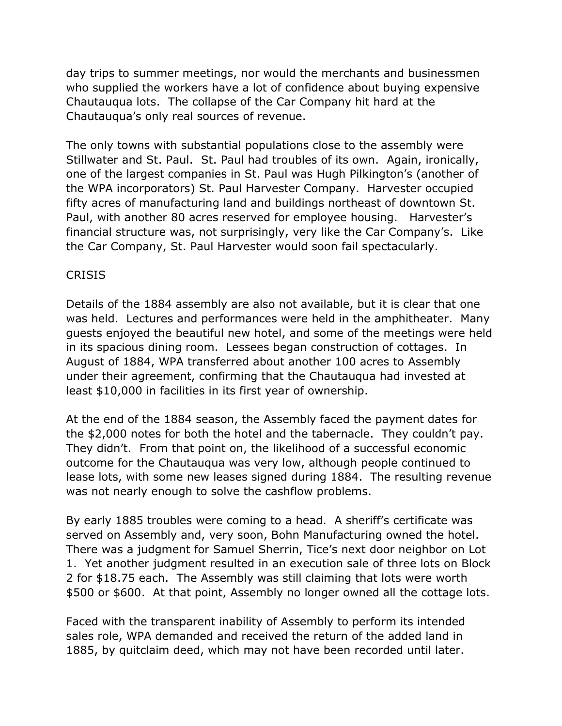day trips to summer meetings, nor would the merchants and businessmen who supplied the workers have a lot of confidence about buying expensive Chautauqua lots. The collapse of the Car Company hit hard at the Chautauqua's only real sources of revenue.

The only towns with substantial populations close to the assembly were Stillwater and St. Paul. St. Paul had troubles of its own. Again, ironically, one of the largest companies in St. Paul was Hugh Pilkington's (another of the WPA incorporators) St. Paul Harvester Company. Harvester occupied fifty acres of manufacturing land and buildings northeast of downtown St. Paul, with another 80 acres reserved for employee housing. Harvester's financial structure was, not surprisingly, very like the Car Company's. Like the Car Company, St. Paul Harvester would soon fail spectacularly.

# **CRISIS**

Details of the 1884 assembly are also not available, but it is clear that one was held. Lectures and performances were held in the amphitheater. Many guests enjoyed the beautiful new hotel, and some of the meetings were held in its spacious dining room. Lessees began construction of cottages. In August of 1884, WPA transferred about another 100 acres to Assembly under their agreement, confirming that the Chautauqua had invested at least \$10,000 in facilities in its first year of ownership.

At the end of the 1884 season, the Assembly faced the payment dates for the \$2,000 notes for both the hotel and the tabernacle. They couldn't pay. They didn't. From that point on, the likelihood of a successful economic outcome for the Chautauqua was very low, although people continued to lease lots, with some new leases signed during 1884. The resulting revenue was not nearly enough to solve the cashflow problems.

By early 1885 troubles were coming to a head. A sheriff's certificate was served on Assembly and, very soon, Bohn Manufacturing owned the hotel. There was a judgment for Samuel Sherrin, Tice's next door neighbor on Lot 1. Yet another judgment resulted in an execution sale of three lots on Block 2 for \$18.75 each. The Assembly was still claiming that lots were worth \$500 or \$600. At that point, Assembly no longer owned all the cottage lots.

Faced with the transparent inability of Assembly to perform its intended sales role, WPA demanded and received the return of the added land in 1885, by quitclaim deed, which may not have been recorded until later.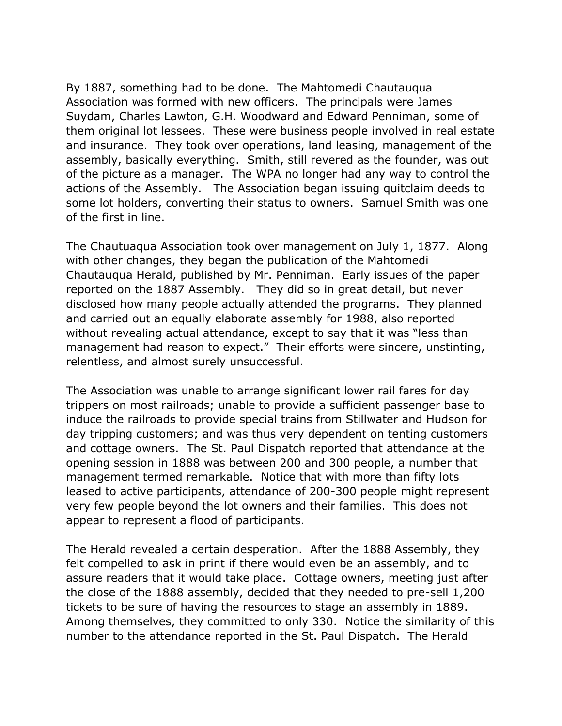By 1887, something had to be done. The Mahtomedi Chautauqua Association was formed with new officers. The principals were James Suydam, Charles Lawton, G.H. Woodward and Edward Penniman, some of them original lot lessees. These were business people involved in real estate and insurance. They took over operations, land leasing, management of the assembly, basically everything. Smith, still revered as the founder, was out of the picture as a manager. The WPA no longer had any way to control the actions of the Assembly. The Association began issuing quitclaim deeds to some lot holders, converting their status to owners. Samuel Smith was one of the first in line.

The Chautuaqua Association took over management on July 1, 1877. Along with other changes, they began the publication of the Mahtomedi Chautauqua Herald, published by Mr. Penniman. Early issues of the paper reported on the 1887 Assembly. They did so in great detail, but never disclosed how many people actually attended the programs. They planned and carried out an equally elaborate assembly for 1988, also reported without revealing actual attendance, except to say that it was "less than management had reason to expect." Their efforts were sincere, unstinting, relentless, and almost surely unsuccessful.

The Association was unable to arrange significant lower rail fares for day trippers on most railroads; unable to provide a sufficient passenger base to induce the railroads to provide special trains from Stillwater and Hudson for day tripping customers; and was thus very dependent on tenting customers and cottage owners. The St. Paul Dispatch reported that attendance at the opening session in 1888 was between 200 and 300 people, a number that management termed remarkable. Notice that with more than fifty lots leased to active participants, attendance of 200-300 people might represent very few people beyond the lot owners and their families. This does not appear to represent a flood of participants.

The Herald revealed a certain desperation. After the 1888 Assembly, they felt compelled to ask in print if there would even be an assembly, and to assure readers that it would take place. Cottage owners, meeting just after the close of the 1888 assembly, decided that they needed to pre-sell 1,200 tickets to be sure of having the resources to stage an assembly in 1889. Among themselves, they committed to only 330. Notice the similarity of this number to the attendance reported in the St. Paul Dispatch. The Herald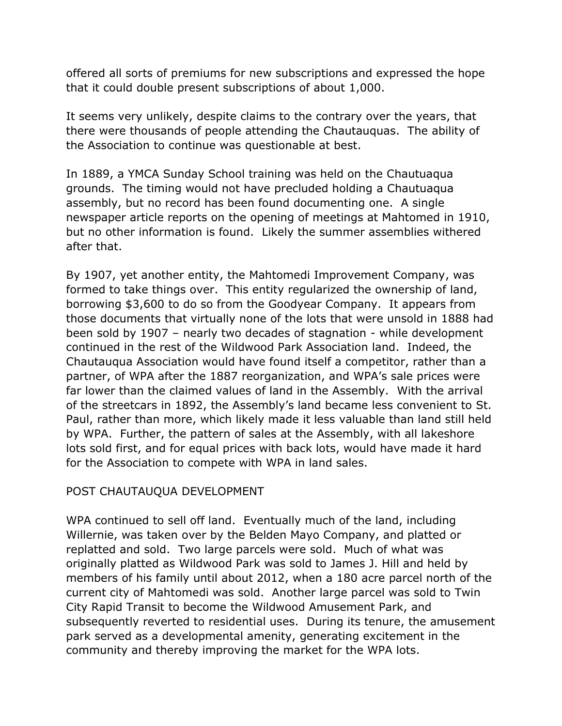offered all sorts of premiums for new subscriptions and expressed the hope that it could double present subscriptions of about 1,000.

It seems very unlikely, despite claims to the contrary over the years, that there were thousands of people attending the Chautauquas. The ability of the Association to continue was questionable at best.

In 1889, a YMCA Sunday School training was held on the Chautuaqua grounds. The timing would not have precluded holding a Chautuaqua assembly, but no record has been found documenting one. A single newspaper article reports on the opening of meetings at Mahtomed in 1910, but no other information is found. Likely the summer assemblies withered after that.

By 1907, yet another entity, the Mahtomedi Improvement Company, was formed to take things over. This entity regularized the ownership of land, borrowing \$3,600 to do so from the Goodyear Company. It appears from those documents that virtually none of the lots that were unsold in 1888 had been sold by 1907 – nearly two decades of stagnation - while development continued in the rest of the Wildwood Park Association land. Indeed, the Chautauqua Association would have found itself a competitor, rather than a partner, of WPA after the 1887 reorganization, and WPA's sale prices were far lower than the claimed values of land in the Assembly. With the arrival of the streetcars in 1892, the Assembly's land became less convenient to St. Paul, rather than more, which likely made it less valuable than land still held by WPA. Further, the pattern of sales at the Assembly, with all lakeshore lots sold first, and for equal prices with back lots, would have made it hard for the Association to compete with WPA in land sales.

# POST CHAUTAUQUA DEVELOPMENT

WPA continued to sell off land. Eventually much of the land, including Willernie, was taken over by the Belden Mayo Company, and platted or replatted and sold. Two large parcels were sold. Much of what was originally platted as Wildwood Park was sold to James J. Hill and held by members of his family until about 2012, when a 180 acre parcel north of the current city of Mahtomedi was sold. Another large parcel was sold to Twin City Rapid Transit to become the Wildwood Amusement Park, and subsequently reverted to residential uses. During its tenure, the amusement park served as a developmental amenity, generating excitement in the community and thereby improving the market for the WPA lots.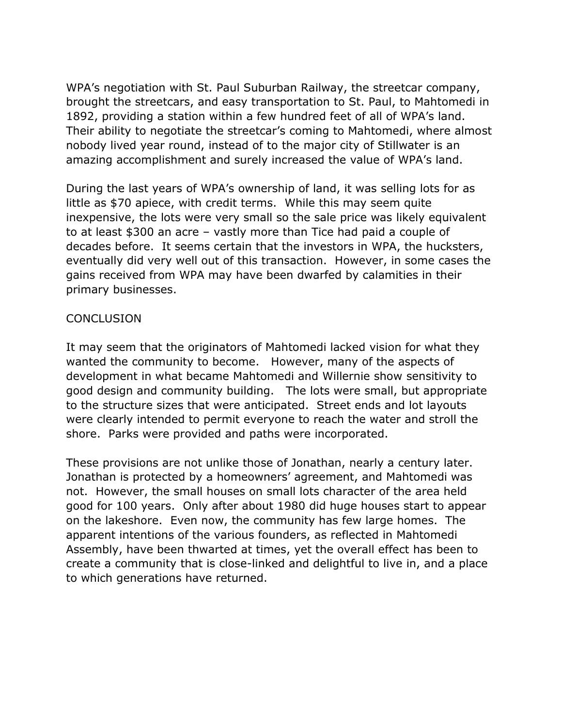WPA's negotiation with St. Paul Suburban Railway, the streetcar company, brought the streetcars, and easy transportation to St. Paul, to Mahtomedi in 1892, providing a station within a few hundred feet of all of WPA's land. Their ability to negotiate the streetcar's coming to Mahtomedi, where almost nobody lived year round, instead of to the major city of Stillwater is an amazing accomplishment and surely increased the value of WPA's land.

During the last years of WPA's ownership of land, it was selling lots for as little as \$70 apiece, with credit terms. While this may seem quite inexpensive, the lots were very small so the sale price was likely equivalent to at least \$300 an acre – vastly more than Tice had paid a couple of decades before. It seems certain that the investors in WPA, the hucksters, eventually did very well out of this transaction. However, in some cases the gains received from WPA may have been dwarfed by calamities in their primary businesses.

#### **CONCLUSION**

It may seem that the originators of Mahtomedi lacked vision for what they wanted the community to become. However, many of the aspects of development in what became Mahtomedi and Willernie show sensitivity to good design and community building. The lots were small, but appropriate to the structure sizes that were anticipated. Street ends and lot layouts were clearly intended to permit everyone to reach the water and stroll the shore. Parks were provided and paths were incorporated.

These provisions are not unlike those of Jonathan, nearly a century later. Jonathan is protected by a homeowners' agreement, and Mahtomedi was not. However, the small houses on small lots character of the area held good for 100 years. Only after about 1980 did huge houses start to appear on the lakeshore. Even now, the community has few large homes. The apparent intentions of the various founders, as reflected in Mahtomedi Assembly, have been thwarted at times, yet the overall effect has been to create a community that is close-linked and delightful to live in, and a place to which generations have returned.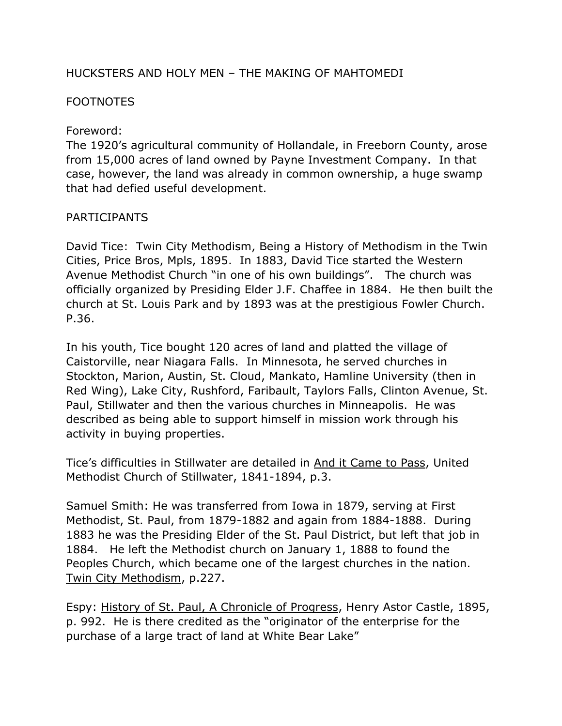### HUCKSTERS AND HOLY MEN – THE MAKING OF MAHTOMEDI

### **FOOTNOTES**

Foreword:

The 1920's agricultural community of Hollandale, in Freeborn County, arose from 15,000 acres of land owned by Payne Investment Company. In that case, however, the land was already in common ownership, a huge swamp that had defied useful development.

### PARTICIPANTS

David Tice: Twin City Methodism, Being a History of Methodism in the Twin Cities, Price Bros, Mpls, 1895. In 1883, David Tice started the Western Avenue Methodist Church "in one of his own buildings". The church was officially organized by Presiding Elder J.F. Chaffee in 1884. He then built the church at St. Louis Park and by 1893 was at the prestigious Fowler Church. P.36.

In his youth, Tice bought 120 acres of land and platted the village of Caistorville, near Niagara Falls. In Minnesota, he served churches in Stockton, Marion, Austin, St. Cloud, Mankato, Hamline University (then in Red Wing), Lake City, Rushford, Faribault, Taylors Falls, Clinton Avenue, St. Paul, Stillwater and then the various churches in Minneapolis. He was described as being able to support himself in mission work through his activity in buying properties.

Tice's difficulties in Stillwater are detailed in And it Came to Pass, United Methodist Church of Stillwater, 1841-1894, p.3.

Samuel Smith: He was transferred from Iowa in 1879, serving at First Methodist, St. Paul, from 1879-1882 and again from 1884-1888. During 1883 he was the Presiding Elder of the St. Paul District, but left that job in 1884. He left the Methodist church on January 1, 1888 to found the Peoples Church, which became one of the largest churches in the nation. Twin City Methodism, p.227.

Espy: History of St. Paul, A Chronicle of Progress, Henry Astor Castle, 1895, p. 992. He is there credited as the "originator of the enterprise for the purchase of a large tract of land at White Bear Lake"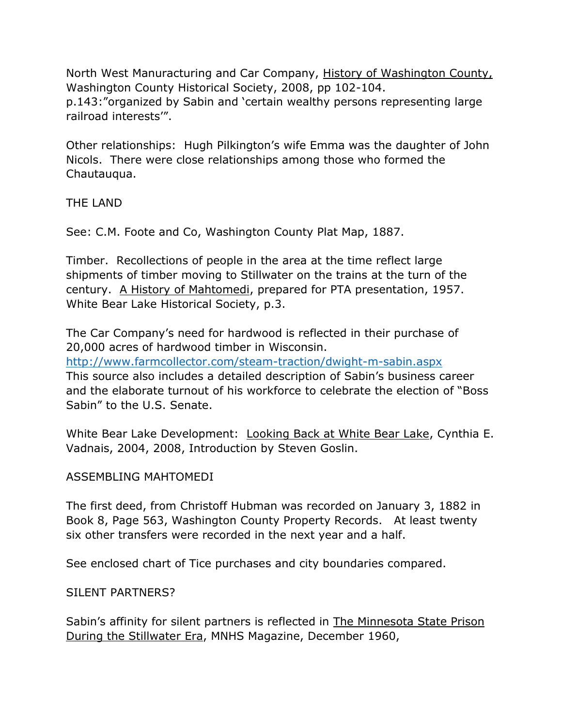North West Manuracturing and Car Company, History of Washington County, Washington County Historical Society, 2008, pp 102-104. p.143:"organized by Sabin and 'certain wealthy persons representing large railroad interests'".

Other relationships: Hugh Pilkington's wife Emma was the daughter of John Nicols. There were close relationships among those who formed the Chautauqua.

THE LAND

See: C.M. Foote and Co, Washington County Plat Map, 1887.

Timber. Recollections of people in the area at the time reflect large shipments of timber moving to Stillwater on the trains at the turn of the century. A History of Mahtomedi, prepared for PTA presentation, 1957. White Bear Lake Historical Society, p.3.

The Car Company's need for hardwood is reflected in their purchase of 20,000 acres of hardwood timber in Wisconsin. <http://www.farmcollector.com/steam-traction/dwight-m-sabin.aspx> This source also includes a detailed description of Sabin's business career and the elaborate turnout of his workforce to celebrate the election of "Boss Sabin" to the U.S. Senate.

White Bear Lake Development: Looking Back at White Bear Lake, Cynthia E. Vadnais, 2004, 2008, Introduction by Steven Goslin.

# ASSEMBLING MAHTOMEDI

The first deed, from Christoff Hubman was recorded on January 3, 1882 in Book 8, Page 563, Washington County Property Records. At least twenty six other transfers were recorded in the next year and a half.

See enclosed chart of Tice purchases and city boundaries compared.

SILENT PARTNERS?

Sabin's affinity for silent partners is reflected in The Minnesota State Prison During the Stillwater Era, MNHS Magazine, December 1960,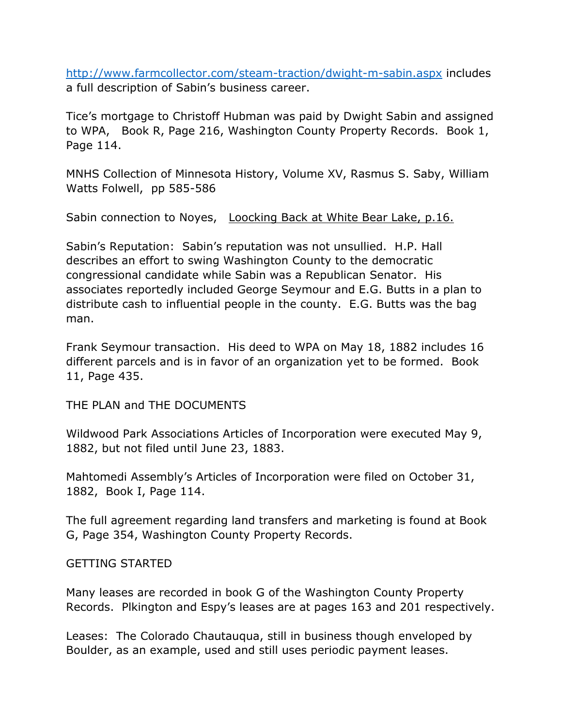<http://www.farmcollector.com/steam-traction/dwight-m-sabin.aspx> includes a full description of Sabin's business career.

Tice's mortgage to Christoff Hubman was paid by Dwight Sabin and assigned to WPA, Book R, Page 216, Washington County Property Records. Book 1, Page 114.

MNHS Collection of Minnesota History, Volume XV, Rasmus S. Saby, William Watts Folwell, pp 585-586

Sabin connection to Noyes, Loocking Back at White Bear Lake, p.16.

Sabin's Reputation: Sabin's reputation was not unsullied. H.P. Hall describes an effort to swing Washington County to the democratic congressional candidate while Sabin was a Republican Senator. His associates reportedly included George Seymour and E.G. Butts in a plan to distribute cash to influential people in the county. E.G. Butts was the bag man.

Frank Seymour transaction. His deed to WPA on May 18, 1882 includes 16 different parcels and is in favor of an organization yet to be formed. Book 11, Page 435.

THE PLAN and THE DOCUMENTS

Wildwood Park Associations Articles of Incorporation were executed May 9, 1882, but not filed until June 23, 1883.

Mahtomedi Assembly's Articles of Incorporation were filed on October 31, 1882, Book I, Page 114.

The full agreement regarding land transfers and marketing is found at Book G, Page 354, Washington County Property Records.

#### GETTING STARTED

Many leases are recorded in book G of the Washington County Property Records. Plkington and Espy's leases are at pages 163 and 201 respectively.

Leases: The Colorado Chautauqua, still in business though enveloped by Boulder, as an example, used and still uses periodic payment leases.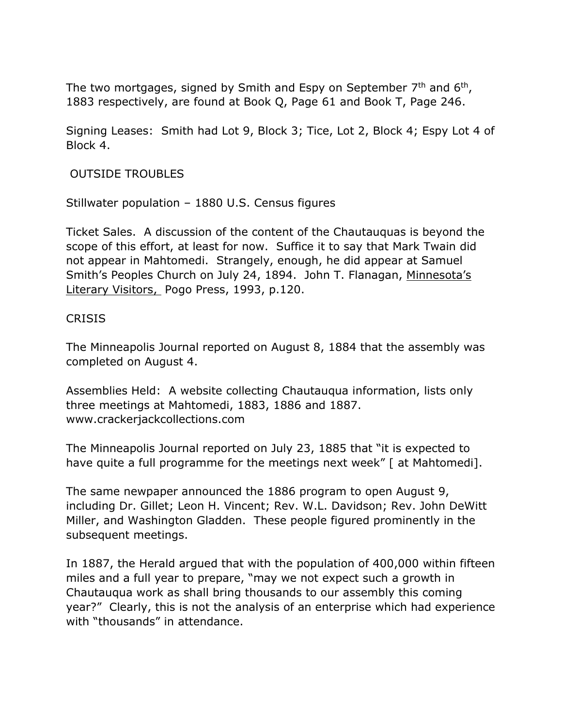The two mortgages, signed by Smith and Espy on September  $7<sup>th</sup>$  and  $6<sup>th</sup>$ , 1883 respectively, are found at Book Q, Page 61 and Book T, Page 246.

Signing Leases: Smith had Lot 9, Block 3; Tice, Lot 2, Block 4; Espy Lot 4 of Block 4.

OUTSIDE TROUBLES

Stillwater population – 1880 U.S. Census figures

Ticket Sales. A discussion of the content of the Chautauquas is beyond the scope of this effort, at least for now. Suffice it to say that Mark Twain did not appear in Mahtomedi. Strangely, enough, he did appear at Samuel Smith's Peoples Church on July 24, 1894. John T. Flanagan, Minnesota's Literary Visitors, Pogo Press, 1993, p.120.

#### **CRISIS**

The Minneapolis Journal reported on August 8, 1884 that the assembly was completed on August 4.

Assemblies Held: A website collecting Chautauqua information, lists only three meetings at Mahtomedi, 1883, 1886 and 1887. www.crackerjackcollections.com

The Minneapolis Journal reported on July 23, 1885 that "it is expected to have quite a full programme for the meetings next week" [ at Mahtomedi].

The same newpaper announced the 1886 program to open August 9, including Dr. Gillet; Leon H. Vincent; Rev. W.L. Davidson; Rev. John DeWitt Miller, and Washington Gladden. These people figured prominently in the subsequent meetings.

In 1887, the Herald argued that with the population of 400,000 within fifteen miles and a full year to prepare, "may we not expect such a growth in Chautauqua work as shall bring thousands to our assembly this coming year?" Clearly, this is not the analysis of an enterprise which had experience with "thousands" in attendance.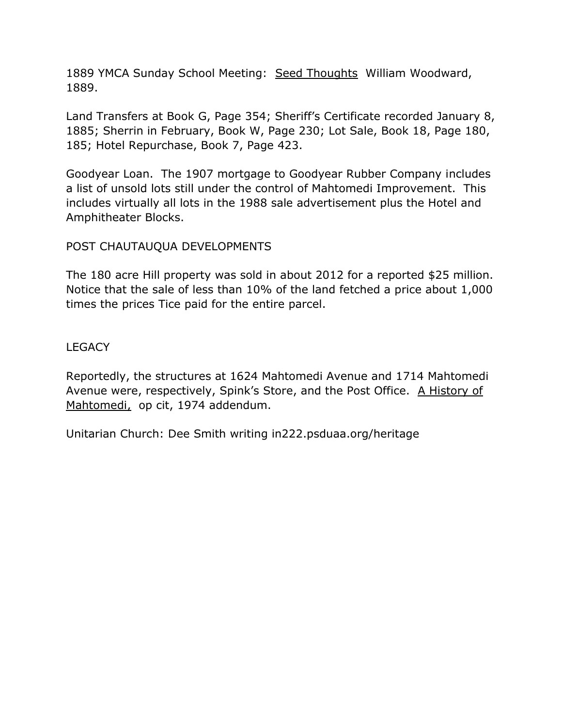1889 YMCA Sunday School Meeting: Seed Thoughts William Woodward, 1889.

Land Transfers at Book G, Page 354; Sheriff's Certificate recorded January 8, 1885; Sherrin in February, Book W, Page 230; Lot Sale, Book 18, Page 180, 185; Hotel Repurchase, Book 7, Page 423.

Goodyear Loan. The 1907 mortgage to Goodyear Rubber Company includes a list of unsold lots still under the control of Mahtomedi Improvement. This includes virtually all lots in the 1988 sale advertisement plus the Hotel and Amphitheater Blocks.

# POST CHAUTAUQUA DEVELOPMENTS

The 180 acre Hill property was sold in about 2012 for a reported \$25 million. Notice that the sale of less than 10% of the land fetched a price about 1,000 times the prices Tice paid for the entire parcel.

**LEGACY** 

Reportedly, the structures at 1624 Mahtomedi Avenue and 1714 Mahtomedi Avenue were, respectively, Spink's Store, and the Post Office. A History of Mahtomedi, op cit, 1974 addendum.

Unitarian Church: Dee Smith writing in222.psduaa.org/heritage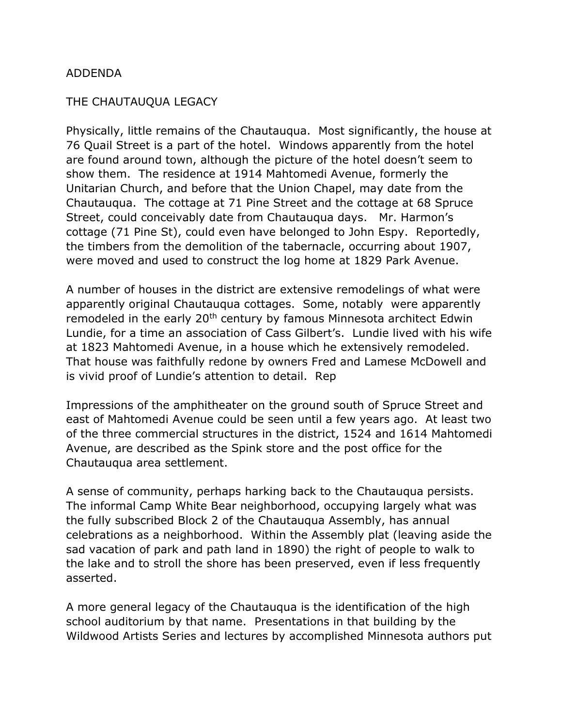#### ADDENDA

#### THE CHAUTAUQUA LEGACY

Physically, little remains of the Chautauqua. Most significantly, the house at 76 Quail Street is a part of the hotel. Windows apparently from the hotel are found around town, although the picture of the hotel doesn't seem to show them. The residence at 1914 Mahtomedi Avenue, formerly the Unitarian Church, and before that the Union Chapel, may date from the Chautauqua. The cottage at 71 Pine Street and the cottage at 68 Spruce Street, could conceivably date from Chautauqua days. Mr. Harmon's cottage (71 Pine St), could even have belonged to John Espy. Reportedly, the timbers from the demolition of the tabernacle, occurring about 1907, were moved and used to construct the log home at 1829 Park Avenue.

A number of houses in the district are extensive remodelings of what were apparently original Chautauqua cottages. Some, notably were apparently remodeled in the early 20<sup>th</sup> century by famous Minnesota architect Edwin Lundie, for a time an association of Cass Gilbert's. Lundie lived with his wife at 1823 Mahtomedi Avenue, in a house which he extensively remodeled. That house was faithfully redone by owners Fred and Lamese McDowell and is vivid proof of Lundie's attention to detail. Rep

Impressions of the amphitheater on the ground south of Spruce Street and east of Mahtomedi Avenue could be seen until a few years ago. At least two of the three commercial structures in the district, 1524 and 1614 Mahtomedi Avenue, are described as the Spink store and the post office for the Chautauqua area settlement.

A sense of community, perhaps harking back to the Chautauqua persists. The informal Camp White Bear neighborhood, occupying largely what was the fully subscribed Block 2 of the Chautauqua Assembly, has annual celebrations as a neighborhood. Within the Assembly plat (leaving aside the sad vacation of park and path land in 1890) the right of people to walk to the lake and to stroll the shore has been preserved, even if less frequently asserted.

A more general legacy of the Chautauqua is the identification of the high school auditorium by that name. Presentations in that building by the Wildwood Artists Series and lectures by accomplished Minnesota authors put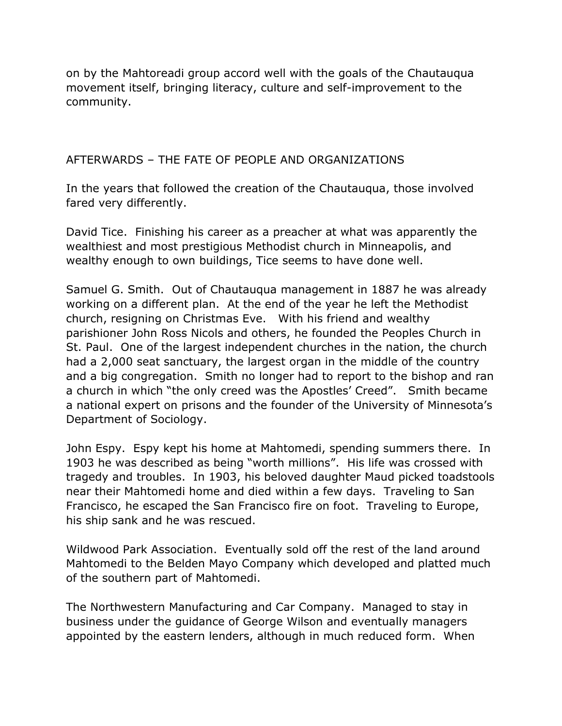on by the Mahtoreadi group accord well with the goals of the Chautauqua movement itself, bringing literacy, culture and self-improvement to the community.

### AFTERWARDS – THE FATE OF PEOPLE AND ORGANIZATIONS

In the years that followed the creation of the Chautauqua, those involved fared very differently.

David Tice. Finishing his career as a preacher at what was apparently the wealthiest and most prestigious Methodist church in Minneapolis, and wealthy enough to own buildings, Tice seems to have done well.

Samuel G. Smith. Out of Chautauqua management in 1887 he was already working on a different plan. At the end of the year he left the Methodist church, resigning on Christmas Eve. With his friend and wealthy parishioner John Ross Nicols and others, he founded the Peoples Church in St. Paul. One of the largest independent churches in the nation, the church had a 2,000 seat sanctuary, the largest organ in the middle of the country and a big congregation. Smith no longer had to report to the bishop and ran a church in which "the only creed was the Apostles' Creed". Smith became a national expert on prisons and the founder of the University of Minnesota's Department of Sociology.

John Espy. Espy kept his home at Mahtomedi, spending summers there. In 1903 he was described as being "worth millions". His life was crossed with tragedy and troubles. In 1903, his beloved daughter Maud picked toadstools near their Mahtomedi home and died within a few days. Traveling to San Francisco, he escaped the San Francisco fire on foot. Traveling to Europe, his ship sank and he was rescued.

Wildwood Park Association. Eventually sold off the rest of the land around Mahtomedi to the Belden Mayo Company which developed and platted much of the southern part of Mahtomedi.

The Northwestern Manufacturing and Car Company. Managed to stay in business under the guidance of George Wilson and eventually managers appointed by the eastern lenders, although in much reduced form. When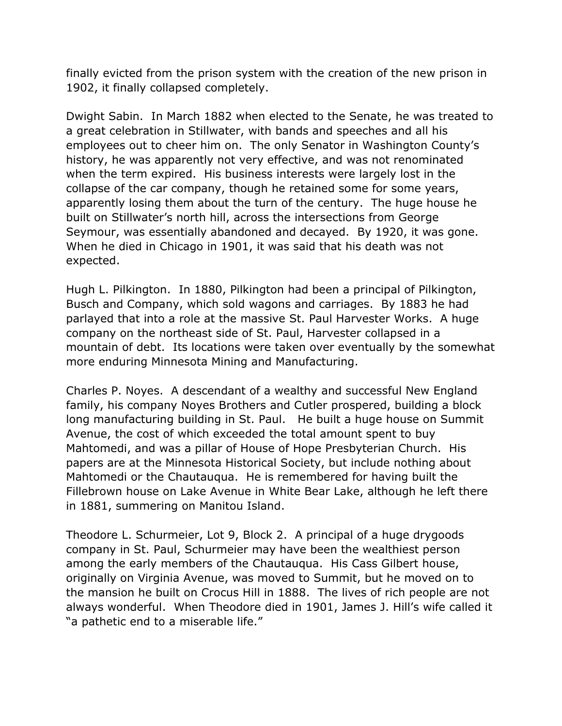finally evicted from the prison system with the creation of the new prison in 1902, it finally collapsed completely.

Dwight Sabin. In March 1882 when elected to the Senate, he was treated to a great celebration in Stillwater, with bands and speeches and all his employees out to cheer him on. The only Senator in Washington County's history, he was apparently not very effective, and was not renominated when the term expired. His business interests were largely lost in the collapse of the car company, though he retained some for some years, apparently losing them about the turn of the century. The huge house he built on Stillwater's north hill, across the intersections from George Seymour, was essentially abandoned and decayed. By 1920, it was gone. When he died in Chicago in 1901, it was said that his death was not expected.

Hugh L. Pilkington. In 1880, Pilkington had been a principal of Pilkington, Busch and Company, which sold wagons and carriages. By 1883 he had parlayed that into a role at the massive St. Paul Harvester Works. A huge company on the northeast side of St. Paul, Harvester collapsed in a mountain of debt. Its locations were taken over eventually by the somewhat more enduring Minnesota Mining and Manufacturing.

Charles P. Noyes. A descendant of a wealthy and successful New England family, his company Noyes Brothers and Cutler prospered, building a block long manufacturing building in St. Paul. He built a huge house on Summit Avenue, the cost of which exceeded the total amount spent to buy Mahtomedi, and was a pillar of House of Hope Presbyterian Church. His papers are at the Minnesota Historical Society, but include nothing about Mahtomedi or the Chautauqua. He is remembered for having built the Fillebrown house on Lake Avenue in White Bear Lake, although he left there in 1881, summering on Manitou Island.

Theodore L. Schurmeier, Lot 9, Block 2. A principal of a huge drygoods company in St. Paul, Schurmeier may have been the wealthiest person among the early members of the Chautauqua. His Cass Gilbert house, originally on Virginia Avenue, was moved to Summit, but he moved on to the mansion he built on Crocus Hill in 1888. The lives of rich people are not always wonderful. When Theodore died in 1901, James J. Hill's wife called it "a pathetic end to a miserable life."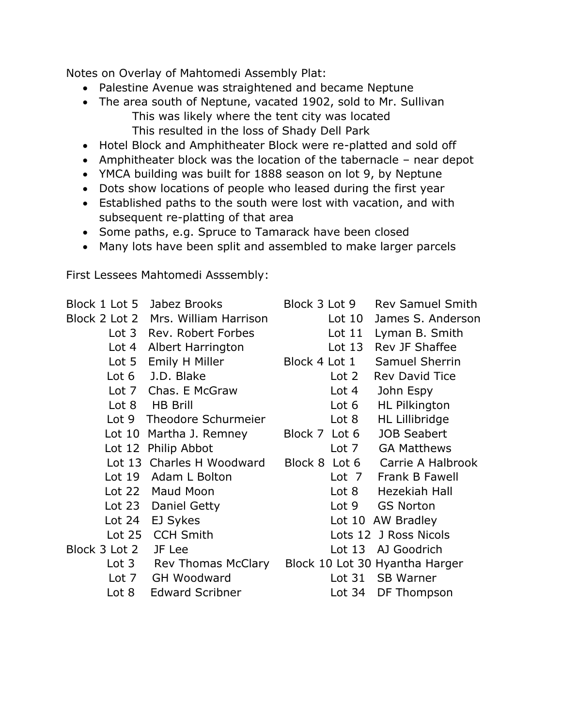Notes on Overlay of Mahtomedi Assembly Plat:

- Palestine Avenue was straightened and became Neptune
- The area south of Neptune, vacated 1902, sold to Mr. Sullivan This was likely where the tent city was located This resulted in the loss of Shady Dell Park
- Hotel Block and Amphitheater Block were re-platted and sold off
- Amphitheater block was the location of the tabernacle near depot
- YMCA building was built for 1888 season on lot 9, by Neptune
- Dots show locations of people who leased during the first year
- Established paths to the south were lost with vacation, and with subsequent re-platting of that area
- Some paths, e.g. Spruce to Tamarack have been closed
- Many lots have been split and assembled to make larger parcels

First Lessees Mahtomedi Asssembly:

| Block 1 Lot 5    | Jabez Brooks<br>Block 2 Lot 2 Mrs. William Harrison<br>Lot 3 Rev. Robert Forbes<br>Lot 4 Albert Harrington | Block 3 Lot 9<br>Lot $10$<br>Lot 11<br>Lot $13$ | <b>Rev Samuel Smith</b><br>James S. Anderson<br>Lyman B. Smith<br>Rev JF Shaffee |
|------------------|------------------------------------------------------------------------------------------------------------|-------------------------------------------------|----------------------------------------------------------------------------------|
| Lot <sub>5</sub> | Emily H Miller                                                                                             | Block 4 Lot 1                                   | Samuel Sherrin                                                                   |
| Lot $6$          | J.D. Blake                                                                                                 | Lot <sub>2</sub>                                | <b>Rev David Tice</b>                                                            |
|                  | Lot 7 Chas. E McGraw                                                                                       | Lot 4                                           | John Espy                                                                        |
| Lot 8            | <b>HB Brill</b>                                                                                            | Lot 6                                           | <b>HL Pilkington</b>                                                             |
| Lot 9            | Theodore Schurmeier                                                                                        | Lot 8                                           | HL Lillibridge                                                                   |
| Lot $10$         | Martha J. Remney                                                                                           | Block 7 Lot 6                                   | <b>JOB Seabert</b>                                                               |
|                  | Lot 12 Philip Abbot                                                                                        |                                                 | Lot 7 GA Matthews                                                                |
|                  | Lot 13 Charles H Woodward                                                                                  |                                                 | Block 8 Lot 6 Carrie A Halbrook                                                  |
| Lot $19$         | Adam L Bolton                                                                                              |                                                 | Lot 7 Frank B Fawell                                                             |
| Lot $22$         | Maud Moon                                                                                                  |                                                 | Lot 8 Hezekiah Hall                                                              |
| Lot $23$         | Daniel Getty                                                                                               | Lot 9                                           | <b>GS Norton</b>                                                                 |
| Lot $24$         | EJ Sykes                                                                                                   |                                                 | Lot 10 AW Bradley                                                                |
| Lot $25$         | <b>CCH Smith</b>                                                                                           |                                                 | Lots 12 J Ross Nicols                                                            |
| Block 3 Lot 2    | JF Lee                                                                                                     |                                                 | Lot 13 AJ Goodrich                                                               |
| Lot 3            | Rev Thomas McClary                                                                                         |                                                 | Block 10 Lot 30 Hyantha Harger                                                   |
| Lot $7$          | GH Woodward                                                                                                | Lot 31                                          | <b>SB Warner</b>                                                                 |
| Lot 8            | <b>Edward Scribner</b>                                                                                     | Lot $34$                                        | DF Thompson                                                                      |